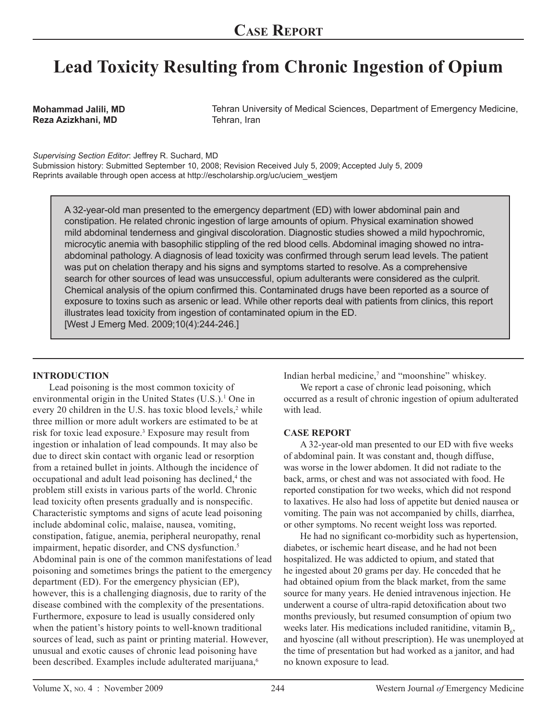# **Lead Toxicity Resulting from Chronic Ingestion of Opium**

**Mohammad Jalili, MD Reza Azizkhani, MD**

Tehran University of Medical Sciences, Department of Emergency Medicine, Tehran, Iran

*Supervising Section Editor*: Jeffrey R. Suchard, MD

Submission history: Submitted September 10, 2008; Revision Received July 5, 2009; Accepted July 5, 2009 Reprints available through open access at http://escholarship.org/uc/uciem\_westjem

A 32-year-old man presented to the emergency department (ED) with lower abdominal pain and constipation. He related chronic ingestion of large amounts of opium. Physical examination showed mild abdominal tenderness and gingival discoloration. Diagnostic studies showed a mild hypochromic, microcytic anemia with basophilic stippling of the red blood cells. Abdominal imaging showed no intraabdominal pathology. A diagnosis of lead toxicity was confirmed through serum lead levels. The patient was put on chelation therapy and his signs and symptoms started to resolve. As a comprehensive search for other sources of lead was unsuccessful, opium adulterants were considered as the culprit. Chemical analysis of the opium confirmed this. Contaminated drugs have been reported as a source of exposure to toxins such as arsenic or lead. While other reports deal with patients from clinics, this report illustrates lead toxicity from ingestion of contaminated opium in the ED. [West J Emerg Med. 2009;10(4):244-246.]

### **INTRODUCTION**

Lead poisoning is the most common toxicity of environmental origin in the United States (U.S.).<sup>1</sup> One in every 20 children in the U.S. has toxic blood levels,<sup>2</sup> while three million or more adult workers are estimated to be at risk for toxic lead exposure.3 Exposure may result from ingestion or inhalation of lead compounds. It may also be due to direct skin contact with organic lead or resorption from a retained bullet in joints. Although the incidence of occupational and adult lead poisoning has declined,<sup>4</sup> the problem still exists in various parts of the world. Chronic lead toxicity often presents gradually and is nonspecific. Characteristic symptoms and signs of acute lead poisoning include abdominal colic, malaise, nausea, vomiting, constipation, fatigue, anemia, peripheral neuropathy, renal impairment, hepatic disorder, and CNS dysfunction.<sup>5</sup> Abdominal pain is one of the common manifestations of lead poisoning and sometimes brings the patient to the emergency department (ED). For the emergency physician (EP), however, this is a challenging diagnosis, due to rarity of the disease combined with the complexity of the presentations. Furthermore, exposure to lead is usually considered only when the patient's history points to well-known traditional sources of lead, such as paint or printing material. However, unusual and exotic causes of chronic lead poisoning have been described. Examples include adulterated marijuana,<sup>6</sup>

Indian herbal medicine,<sup>7</sup> and "moonshine" whiskey.

We report a case of chronic lead poisoning, which occurred as a result of chronic ingestion of opium adulterated with lead.

### **CASE REPORT**

A 32-year-old man presented to our ED with five weeks of abdominal pain. It was constant and, though diffuse, was worse in the lower abdomen. It did not radiate to the back, arms, or chest and was not associated with food. He reported constipation for two weeks, which did not respond to laxatives. He also had loss of appetite but denied nausea or vomiting. The pain was not accompanied by chills, diarrhea, or other symptoms. No recent weight loss was reported.

He had no significant co-morbidity such as hypertension, diabetes, or ischemic heart disease, and he had not been hospitalized. He was addicted to opium, and stated that he ingested about 20 grams per day. He conceded that he had obtained opium from the black market, from the same source for many years. He denied intravenous injection. He underwent a course of ultra-rapid detoxification about two months previously, but resumed consumption of opium two weeks later. His medications included ranitidine, vitamin  $B_6$ , and hyoscine (all without prescription). He was unemployed at the time of presentation but had worked as a janitor, and had no known exposure to lead.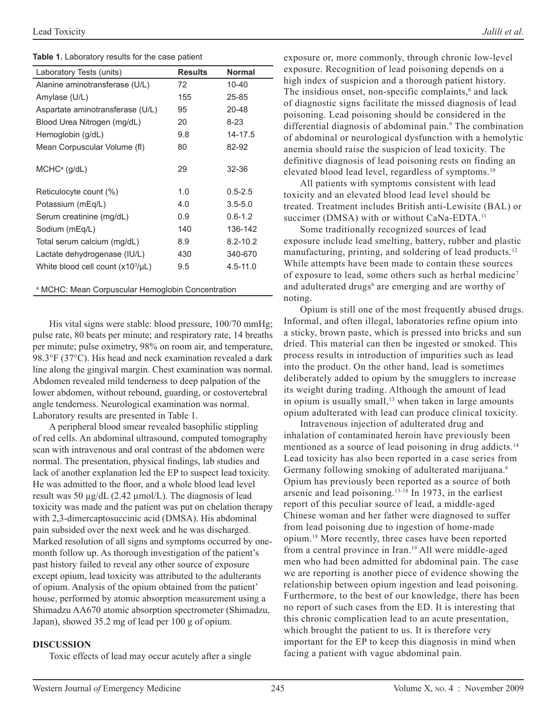**Table 1.** Laboratory results for the case patient

| Laboratory Tests (units)                                     | <b>Results</b> | <b>Normal</b> |
|--------------------------------------------------------------|----------------|---------------|
| Alanine aminotransferase (U/L)                               | 72             | $10 - 40$     |
| Amylase (U/L)                                                | 155            | 25-85         |
| Aspartate aminotransferase (U/L)                             | 95             | 20-48         |
| Blood Urea Nitrogen (mg/dL)                                  | 20             | $8 - 23$      |
| Hemoglobin (g/dL)                                            | 9.8            | 14-17.5       |
| Mean Corpuscular Volume (fl)                                 | 80             | 82-92         |
|                                                              |                |               |
| $MCHCa$ (g/dL)                                               | 29             | 32-36         |
|                                                              | 1.0            | $0.5 - 2.5$   |
| Reticulocyte count (%)                                       |                |               |
| Potassium (mEq/L)                                            | 4.0            | $3.5 - 5.0$   |
| Serum creatinine (mg/dL)                                     | 0.9            | $0.6 - 1.2$   |
| Sodium (mEq/L)                                               | 140            | 136-142       |
| Total serum calcium (mg/dL)                                  | 8.9            | $8.2 - 10.2$  |
| Lactate dehydrogenase (IU/L)                                 | 430            | 340-670       |
| White blood cell count $(x10^3/\mu L)$                       | 9.5            | $4.5 - 11.0$  |
|                                                              |                |               |
| <sup>a</sup> MCHC: Mean Corpuscular Hemoglobin Concentration |                |               |

His vital signs were stable: blood pressure, 100/70 mmHg; pulse rate, 80 beats per minute; and respiratory rate, 14 breaths per minute; pulse oximetry, 98% on room air, and temperature, 98.3°F (37°C). His head and neck examination revealed a dark line along the gingival margin. Chest examination was normal. Abdomen revealed mild tenderness to deep palpation of the lower abdomen, without rebound, guarding, or costovertebral angle tenderness. Neurological examination was normal. Laboratory results are presented in Table 1.

A peripheral blood smear revealed basophilic stippling of red cells. An abdominal ultrasound, computed tomography scan with intravenous and oral contrast of the abdomen were normal. The presentation, physical findings, lab studies and lack of another explanation led the EP to suspect lead toxicity. He was admitted to the floor, and a whole blood lead level result was 50 µg/dL (2.42 µmol/L). The diagnosis of lead toxicity was made and the patient was put on chelation therapy with 2,3-dimercaptosuccinic acid (DMSA). His abdominal pain subsided over the next week and he was discharged. Marked resolution of all signs and symptoms occurred by onemonth follow up. As thorough investigation of the patient's past history failed to reveal any other source of exposure except opium, lead toxicity was attributed to the adulterants of opium. Analysis of the opium obtained from the patient' house, performed by atomic absorption measurement using a Shimadzu AA670 atomic absorption spectrometer (Shimadzu, Japan), showed 35.2 mg of lead per 100 g of opium.

### **DISCUSSION**

Toxic effects of lead may occur acutely after a single

exposure or, more commonly, through chronic low-level exposure. Recognition of lead poisoning depends on a high index of suspicion and a thorough patient history. The insidious onset, non-specific complaints, $<sup>8</sup>$  and lack</sup> of diagnostic signs facilitate the missed diagnosis of lead poisoning. Lead poisoning should be considered in the differential diagnosis of abdominal pain.<sup>9</sup> The combination of abdominal or neurological dysfunction with a hemolytic anemia should raise the suspicion of lead toxicity. The definitive diagnosis of lead poisoning rests on finding an elevated blood lead level, regardless of symptoms.10

All patients with symptoms consistent with lead toxicity and an elevated blood lead level should be treated. Treatment includes British anti-Lewisite (BAL) or succimer (DMSA) with or without CaNa-EDTA.<sup>11</sup>

Some traditionally recognized sources of lead exposure include lead smelting, battery, rubber and plastic manufacturing, printing, and soldering of lead products.<sup>12</sup> While attempts have been made to contain these sources of exposure to lead, some others such as herbal medicine<sup>7</sup> and adulterated drugs<sup>6</sup> are emerging and are worthy of noting.

Opium is still one of the most frequently abused drugs. Informal, and often illegal, laboratories refine opium into a sticky, brown paste, which is pressed into bricks and sun dried. This material can then be ingested or smoked. This process results in introduction of impurities such as lead into the product. On the other hand, lead is sometimes deliberately added to opium by the smugglers to increase its weight during trading. Although the amount of lead in opium is usually small, $13$  when taken in large amounts opium adulterated with lead can produce clinical toxicity.

Intravenous injection of adulterated drug and inhalation of contaminated heroin have previously been mentioned as a source of lead poisoning in drug addicts.<sup>14</sup> Lead toxicity has also been reported in a case series from Germany following smoking of adulterated marijuana.<sup>6</sup> Opium has previously been reported as a source of both arsenic and lead poisoning.<sup>13-18</sup> In 1973, in the earliest report of this peculiar source of lead, a middle-aged Chinese woman and her father were diagnosed to suffer from lead poisoning due to ingestion of home-made opium.18 More recently, three cases have been reported from a central province in Iran.<sup>19</sup> All were middle-aged men who had been admitted for abdominal pain. The case we are reporting is another piece of evidence showing the relationship between opium ingestion and lead poisoning. Furthermore, to the best of our knowledge, there has been no report of such cases from the ED. It is interesting that this chronic complication lead to an acute presentation, which brought the patient to us. It is therefore very important for the EP to keep this diagnosis in mind when facing a patient with vague abdominal pain.